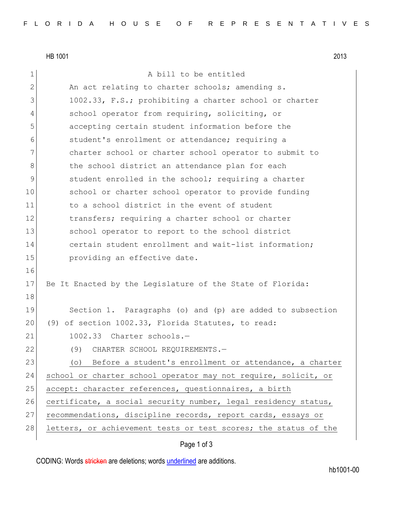HB 1001 2013 1 a bill to be entitled 2 An act relating to charter schools; amending s. 3 1002.33, F.S.; prohibiting a charter school or charter 4 school operator from requiring, soliciting, or 5 accepting certain student information before the 6 student's enrollment or attendance; requiring a 7 charter school or charter school operator to submit to 8 b the school district an attendance plan for each 9 student enrolled in the school; requiring a charter 10 school or charter school operator to provide funding 11 11 to a school district in the event of student 12 transfers; requiring a charter school or charter 13 School operator to report to the school district 14 certain student enrollment and wait-list information; 15 **providing an effective date.** 16 17 Be It Enacted by the Legislature of the State of Florida: 18 19 Section 1. Paragraphs (o) and (p) are added to subsection 20 (9) of section 1002.33, Florida Statutes, to read: 21 1002.33 Charter schools.— 22 (9) CHARTER SCHOOL REQUIREMENTS.— 23 (o) Before a student's enrollment or attendance, a charter 24 school or charter school operator may not require, solicit, or 25 accept: character references, questionnaires, a birth 26 certificate, a social security number, legal residency status, 27 recommendations, discipline records, report cards, essays or 28 letters, or achievement tests or test scores; the status of the

## Page 1 of 3

CODING: Words stricken are deletions; words underlined are additions.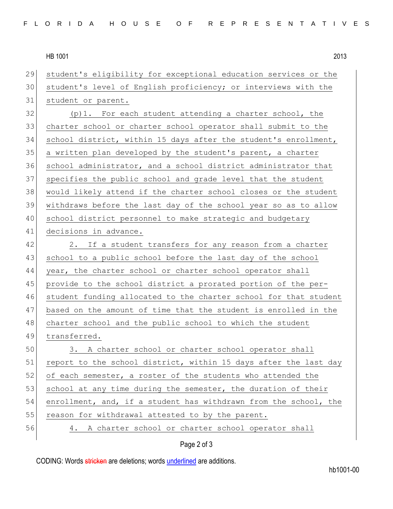HB 1001 2013

 student's eligibility for exceptional education services or the student's level of English proficiency; or interviews with the student or parent. (p)1. For each student attending a charter school, the charter school or charter school operator shall submit to the school district, within 15 days after the student's enrollment, a written plan developed by the student's parent, a charter 36 school administrator, and a school district administrator that specifies the public school and grade level that the student would likely attend if the charter school closes or the student withdraws before the last day of the school year so as to allow school district personnel to make strategic and budgetary decisions in advance. 42 2. If a student transfers for any reason from a charter 43 school to a public school before the last day of the school 44 year, the charter school or charter school operator shall provide to the school district a prorated portion of the per- student funding allocated to the charter school for that student based on the amount of time that the student is enrolled in the 48 charter school and the public school to which the student transferred. 3. A charter school or charter school operator shall 51 report to the school district, within 15 days after the last day 52 of each semester, a roster of the students who attended the 53 school at any time during the semester, the duration of their enrollment, and, if a student has withdrawn from the school, the 55 reason for withdrawal attested to by the parent. 4. A charter school or charter school operator shall

## Page 2 of 3

CODING: Words stricken are deletions; words underlined are additions.